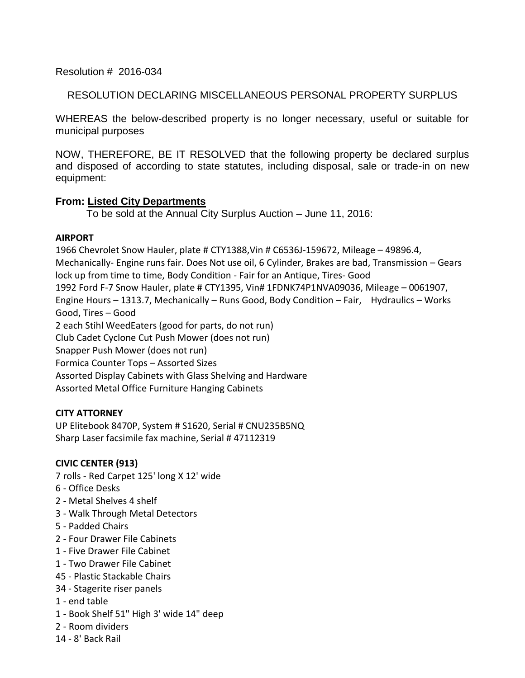# Resolution # 2016-034

# RESOLUTION DECLARING MISCELLANEOUS PERSONAL PROPERTY SURPLUS

WHEREAS the below-described property is no longer necessary, useful or suitable for municipal purposes

NOW, THEREFORE, BE IT RESOLVED that the following property be declared surplus and disposed of according to state statutes, including disposal, sale or trade-in on new equipment:

## **From: Listed City Departments**

To be sold at the Annual City Surplus Auction – June 11, 2016:

## **AIRPORT**

1966 Chevrolet Snow Hauler, plate # CTY1388,Vin # C6536J-159672, Mileage – 49896.4, Mechanically- Engine runs fair. Does Not use oil, 6 Cylinder, Brakes are bad, Transmission – Gears lock up from time to time, Body Condition - Fair for an Antique, Tires- Good 1992 Ford F-7 Snow Hauler, plate # CTY1395, Vin# 1FDNK74P1NVA09036, Mileage – 0061907, Engine Hours – 1313.7, Mechanically – Runs Good, Body Condition – Fair, Hydraulics – Works Good, Tires – Good 2 each Stihl WeedEaters (good for parts, do not run) Club Cadet Cyclone Cut Push Mower (does not run) Snapper Push Mower (does not run) Formica Counter Tops – Assorted Sizes Assorted Display Cabinets with Glass Shelving and Hardware Assorted Metal Office Furniture Hanging Cabinets

# **CITY ATTORNEY**

UP Elitebook 8470P, System # S1620, Serial # CNU235B5NQ Sharp Laser facsimile fax machine, Serial # 47112319

## **CIVIC CENTER (913)**

7 rolls - Red Carpet 125' long X 12' wide

- 6 Office Desks
- 2 Metal Shelves 4 shelf
- 3 Walk Through Metal Detectors
- 5 Padded Chairs
- 2 Four Drawer File Cabinets
- 1 Five Drawer File Cabinet
- 1 Two Drawer File Cabinet
- 45 Plastic Stackable Chairs
- 34 Stagerite riser panels
- 1 end table
- 1 Book Shelf 51" High 3' wide 14" deep
- 2 Room dividers
- 14 8' Back Rail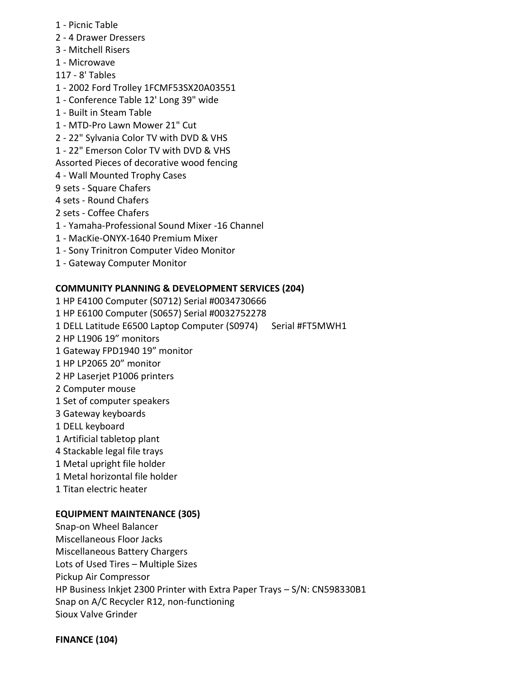- 1 Picnic Table
- 2 4 Drawer Dressers
- 3 Mitchell Risers
- 1 Microwave
- 117 8' Tables
- 1 2002 Ford Trolley 1FCMF53SX20A03551
- 1 Conference Table 12' Long 39" wide
- 1 Built in Steam Table
- 1 MTD-Pro Lawn Mower 21" Cut
- 2 22" Sylvania Color TV with DVD & VHS
- 1 22" Emerson Color TV with DVD & VHS

Assorted Pieces of decorative wood fencing

- 4 Wall Mounted Trophy Cases
- 9 sets Square Chafers
- 4 sets Round Chafers
- 2 sets Coffee Chafers
- 1 Yamaha-Professional Sound Mixer -16 Channel
- 1 MacKie-ONYX-1640 Premium Mixer
- 1 Sony Trinitron Computer Video Monitor
- 1 Gateway Computer Monitor

## **COMMUNITY PLANNING & DEVELOPMENT SERVICES (204)**

1 HP E4100 Computer (S0712) Serial #0034730666 1 HP E6100 Computer (S0657) Serial #0032752278 1 DELL Latitude E6500 Laptop Computer (S0974) Serial #FT5MWH1 2 HP L1906 19" monitors 1 Gateway FPD1940 19" monitor 1 HP LP2065 20" monitor 2 HP Laserjet P1006 printers 2 Computer mouse 1 Set of computer speakers 3 Gateway keyboards 1 DELL keyboard 1 Artificial tabletop plant 4 Stackable legal file trays 1 Metal upright file holder 1 Metal horizontal file holder 1 Titan electric heater **EQUIPMENT MAINTENANCE (305)**

# Snap-on Wheel Balancer Miscellaneous Floor Jacks Miscellaneous Battery Chargers Lots of Used Tires – Multiple Sizes Pickup Air Compressor HP Business Inkjet 2300 Printer with Extra Paper Trays – S/N: CN598330B1 Snap on A/C Recycler R12, non-functioning Sioux Valve Grinder

**FINANCE (104)**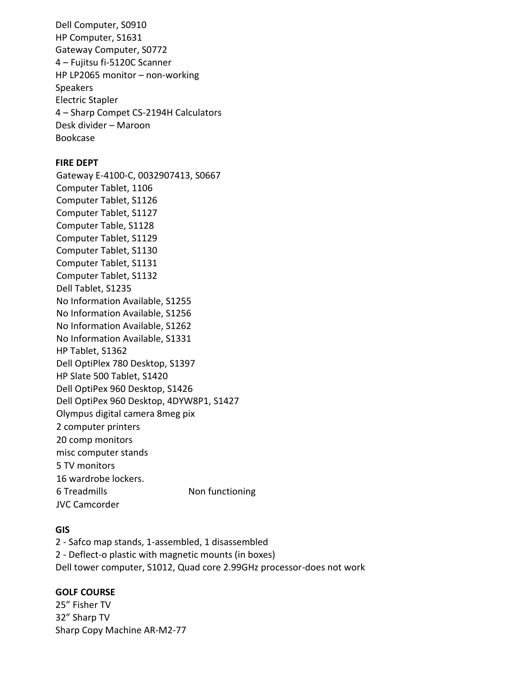Dell Computer, S0910 HP Computer, S1631 Gateway Computer, S0772 4 – Fujitsu fi-5120C Scanner HP LP2065 monitor – non-working Speakers Electric Stapler 4 – Sharp Compet CS-2194H Calculators Desk divider – Maroon Bookcase

## **FIRE DEPT**

Gateway E-4100-C, 0032907413, S0667 Computer Tablet, 1106 Computer Tablet, S1126 Computer Tablet, S1127 Computer Table, S1128 Computer Tablet, S1129 Computer Tablet, S1130 Computer Tablet, S1131 Computer Tablet, S1132 Dell Tablet, S1235 No Information Available, S1255 No Information Available, S1256 No Information Available, S1262 No Information Available, S1331 HP Tablet, S1362 Dell OptiPlex 780 Desktop, S1397 HP Slate 500 Tablet, S1420 Dell OptiPex 960 Desktop, S1426 Dell OptiPex 960 Desktop, 4DYW8P1, S1427 Olympus digital camera 8meg pix 2 computer printers 20 comp monitors misc computer stands 5 TV monitors 16 wardrobe lockers. 6 Treadmills Non functioning JVC Camcorder

## **GIS**

2 - Safco map stands, 1-assembled, 1 disassembled 2 - Deflect-o plastic with magnetic mounts (in boxes) Dell tower computer, S1012, Quad core 2.99GHz processor-does not work

### **GOLF COURSE**

25" Fisher TV 32" Sharp TV Sharp Copy Machine AR-M2-77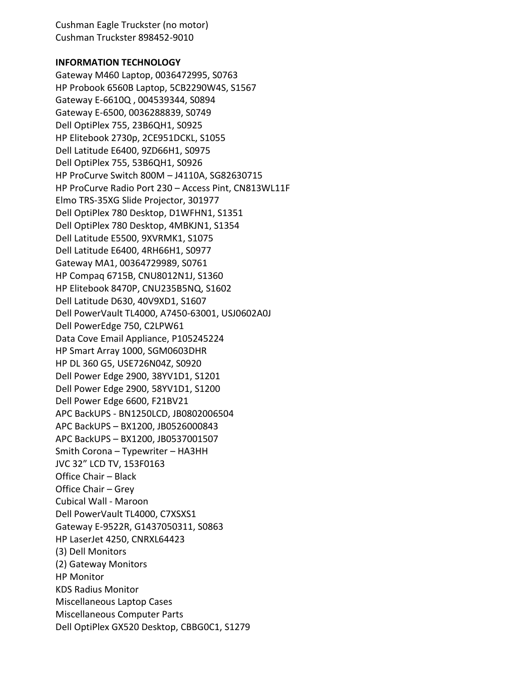Cushman Eagle Truckster (no motor) Cushman Truckster 898452-9010

### **INFORMATION TECHNOLOGY**

Gateway M460 Laptop, 0036472995, S0763 HP Probook 6560B Laptop, 5CB2290W4S, S1567 Gateway E-6610Q , 004539344, S0894 Gateway E-6500, 0036288839, S0749 Dell OptiPlex 755, 23B6QH1, S0925 HP Elitebook 2730p, 2CE951DCKL, S1055 Dell Latitude E6400, 9ZD66H1, S0975 Dell OptiPlex 755, 53B6QH1, S0926 HP ProCurve Switch 800M – J4110A, SG82630715 HP ProCurve Radio Port 230 – Access Pint, CN813WL11F Elmo TRS-35XG Slide Projector, 301977 Dell OptiPlex 780 Desktop, D1WFHN1, S1351 Dell OptiPlex 780 Desktop, 4MBKJN1, S1354 Dell Latitude E5500, 9XVRMK1, S1075 Dell Latitude E6400, 4RH66H1, S0977 Gateway MA1, 00364729989, S0761 HP Compaq 6715B, CNU8012N1J, S1360 HP Elitebook 8470P, CNU235B5NQ, S1602 Dell Latitude D630, 40V9XD1, S1607 Dell PowerVault TL4000, A7450-63001, USJ0602A0J Dell PowerEdge 750, C2LPW61 Data Cove Email Appliance, P105245224 HP Smart Array 1000, SGM0603DHR HP DL 360 G5, USE726N04Z, S0920 Dell Power Edge 2900, 38YV1D1, S1201 Dell Power Edge 2900, 58YV1D1, S1200 Dell Power Edge 6600, F21BV21 APC BackUPS - BN1250LCD, JB0802006504 APC BackUPS – BX1200, JB0526000843 APC BackUPS – BX1200, JB0537001507 Smith Corona – Typewriter – HA3HH JVC 32" LCD TV, 153F0163 Office Chair – Black Office Chair – Grey Cubical Wall - Maroon Dell PowerVault TL4000, C7XSXS1 Gateway E-9522R, G1437050311, S0863 HP LaserJet 4250, CNRXL64423 (3) Dell Monitors (2) Gateway Monitors HP Monitor KDS Radius Monitor Miscellaneous Laptop Cases Miscellaneous Computer Parts Dell OptiPlex GX520 Desktop, CBBG0C1, S1279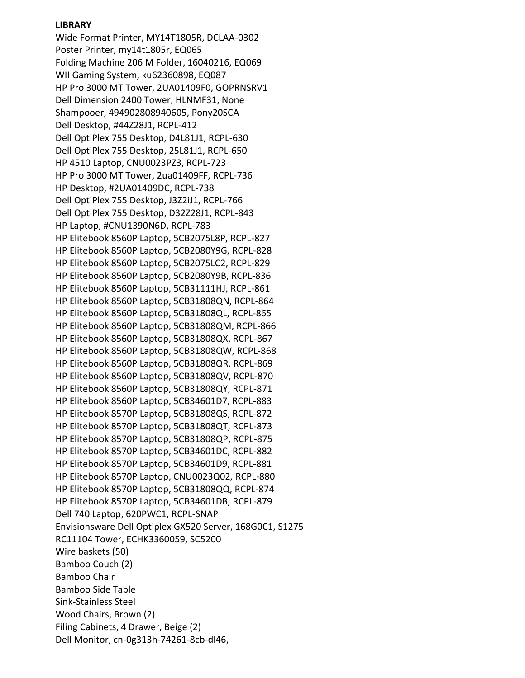## **LIBRARY**

Wide Format Printer, MY14T1805R, DCLAA-0302 Poster Printer, my14t1805r, EQ065 Folding Machine 206 M Folder, 16040216, EQ069 WII Gaming System, ku62360898, EQ087 HP Pro 3000 MT Tower, 2UA01409F0, GOPRNSRV1 Dell Dimension 2400 Tower, HLNMF31, None Shampooer, 494902808940605, Pony20SCA Dell Desktop, #44Z28J1, RCPL-412 Dell OptiPlex 755 Desktop, D4L81J1, RCPL-630 Dell OptiPlex 755 Desktop, 25L81J1, RCPL-650 HP 4510 Laptop, CNU0023PZ3, RCPL-723 HP Pro 3000 MT Tower, 2ua01409FF, RCPL-736 HP Desktop, #2UA01409DC, RCPL-738 Dell OptiPlex 755 Desktop, J3Z2iJ1, RCPL-766 Dell OptiPlex 755 Desktop, D32Z28J1, RCPL-843 HP Laptop, #CNU1390N6D, RCPL-783 HP Elitebook 8560P Laptop, 5CB2075L8P, RCPL-827 HP Elitebook 8560P Laptop, 5CB2080Y9G, RCPL-828 HP Elitebook 8560P Laptop, 5CB2075LC2, RCPL-829 HP Elitebook 8560P Laptop, 5CB2080Y9B, RCPL-836 HP Elitebook 8560P Laptop, 5CB31111HJ, RCPL-861 HP Elitebook 8560P Laptop, 5CB31808QN, RCPL-864 HP Elitebook 8560P Laptop, 5CB31808QL, RCPL-865 HP Elitebook 8560P Laptop, 5CB31808QM, RCPL-866 HP Elitebook 8560P Laptop, 5CB31808QX, RCPL-867 HP Elitebook 8560P Laptop, 5CB31808QW, RCPL-868 HP Elitebook 8560P Laptop, 5CB31808QR, RCPL-869 HP Elitebook 8560P Laptop, 5CB31808QV, RCPL-870 HP Elitebook 8560P Laptop, 5CB31808QY, RCPL-871 HP Elitebook 8560P Laptop, 5CB34601D7, RCPL-883 HP Elitebook 8570P Laptop, 5CB31808QS, RCPL-872 HP Elitebook 8570P Laptop, 5CB31808QT, RCPL-873 HP Elitebook 8570P Laptop, 5CB31808QP, RCPL-875 HP Elitebook 8570P Laptop, 5CB34601DC, RCPL-882 HP Elitebook 8570P Laptop, 5CB34601D9, RCPL-881 HP Elitebook 8570P Laptop, CNU0023Q02, RCPL-880 HP Elitebook 8570P Laptop, 5CB31808QQ, RCPL-874 HP Elitebook 8570P Laptop, 5CB34601DB, RCPL-879 Dell 740 Laptop, 620PWC1, RCPL-SNAP Envisionsware Dell Optiplex GX520 Server, 168G0C1, S1275 RC11104 Tower, ECHK3360059, SC5200 Wire baskets (50) Bamboo Couch (2) Bamboo Chair Bamboo Side Table Sink-Stainless Steel Wood Chairs, Brown (2) Filing Cabinets, 4 Drawer, Beige (2) Dell Monitor, cn-0g313h-74261-8cb-dl46,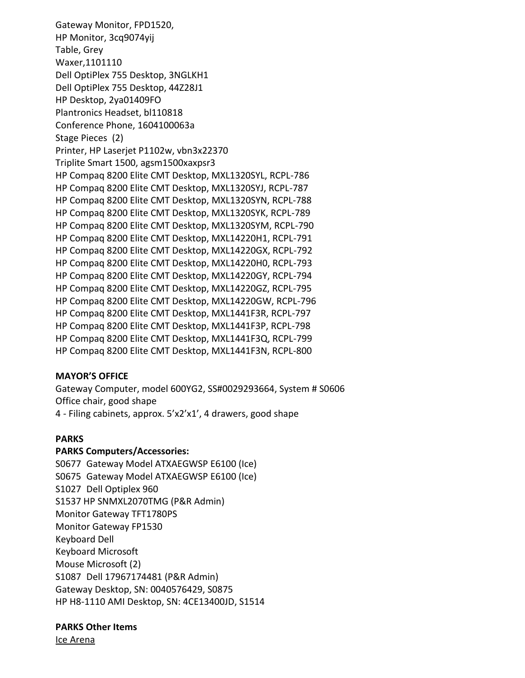Gateway Monitor, FPD1520, HP Monitor, 3cq9074yij Table, Grey Waxer,1101110 Dell OptiPlex 755 Desktop, 3NGLKH1 Dell OptiPlex 755 Desktop, 44Z28J1 HP Desktop, 2ya01409FO Plantronics Headset, bl110818 Conference Phone, 1604100063a Stage Pieces (2) Printer, HP Laserjet P1102w, vbn3x22370 Triplite Smart 1500, agsm1500xaxpsr3 HP Compaq 8200 Elite CMT Desktop, MXL1320SYL, RCPL-786 HP Compaq 8200 Elite CMT Desktop, MXL1320SYJ, RCPL-787 HP Compaq 8200 Elite CMT Desktop, MXL1320SYN, RCPL-788 HP Compaq 8200 Elite CMT Desktop, MXL1320SYK, RCPL-789 HP Compaq 8200 Elite CMT Desktop, MXL1320SYM, RCPL-790 HP Compaq 8200 Elite CMT Desktop, MXL14220H1, RCPL-791 HP Compaq 8200 Elite CMT Desktop, MXL14220GX, RCPL-792 HP Compaq 8200 Elite CMT Desktop, MXL14220H0, RCPL-793 HP Compaq 8200 Elite CMT Desktop, MXL14220GY, RCPL-794 HP Compaq 8200 Elite CMT Desktop, MXL14220GZ, RCPL-795 HP Compaq 8200 Elite CMT Desktop, MXL14220GW, RCPL-796 HP Compaq 8200 Elite CMT Desktop, MXL1441F3R, RCPL-797 HP Compaq 8200 Elite CMT Desktop, MXL1441F3P, RCPL-798 HP Compaq 8200 Elite CMT Desktop, MXL1441F3Q, RCPL-799 HP Compaq 8200 Elite CMT Desktop, MXL1441F3N, RCPL-800

### **MAYOR'S OFFICE**

Gateway Computer, model 600YG2, SS#0029293664, System # S0606 Office chair, good shape 4 - Filing cabinets, approx. 5'x2'x1', 4 drawers, good shape

### **PARKS**

#### **PARKS Computers/Accessories:**

S0677 Gateway Model ATXAEGWSP E6100 (Ice) S0675 Gateway Model ATXAEGWSP E6100 (Ice) S1027 Dell Optiplex 960 S1537 HP SNMXL2070TMG (P&R Admin) Monitor Gateway TFT1780PS Monitor Gateway FP1530 Keyboard Dell Keyboard Microsoft Mouse Microsoft (2) S1087 Dell 17967174481 (P&R Admin) Gateway Desktop, SN: 0040576429, S0875 HP H8-1110 AMI Desktop, SN: 4CE13400JD, S1514

### **PARKS Other Items**

Ice Arena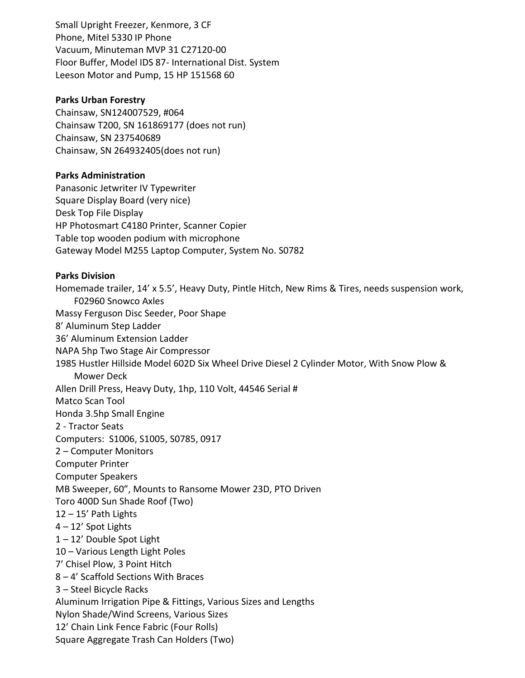Small Upright Freezer, Kenmore, 3 CF Phone, Mitel 5330 IP Phone Vacuum, Minuteman MVP 31 C27120-00 Floor Buffer, Model IDS 87- International Dist. System Leeson Motor and Pump, 15 HP 151568 60

### **Parks Urban Forestry**

Chainsaw, SN124007529, #064 Chainsaw T200, SN 161869177 (does not run) Chainsaw, SN 237540689 Chainsaw, SN 264932405(does not run)

## **Parks Administration**

Panasonic Jetwriter IV Typewriter Square Display Board (very nice) Desk Top File Display HP Photosmart C4180 Printer, Scanner Copier Table top wooden podium with microphone Gateway Model M255 Laptop Computer, System No. S0782

### **Parks Division**

Homemade trailer, 14' x 5.5', Heavy Duty, Pintle Hitch, New Rims & Tires, needs suspension work, F02960 Snowco Axles Massy Ferguson Disc Seeder, Poor Shape 8' Aluminum Step Ladder 36' Aluminum Extension Ladder NAPA 5hp Two Stage Air Compressor 1985 Hustler Hillside Model 602D Six Wheel Drive Diesel 2 Cylinder Motor, With Snow Plow & Mower Deck Allen Drill Press, Heavy Duty, 1hp, 110 Volt, 44546 Serial # Matco Scan Tool Honda 3.5hp Small Engine 2 - Tractor Seats Computers: S1006, S1005, S0785, 0917 2 – Computer Monitors Computer Printer Computer Speakers MB Sweeper, 60", Mounts to Ransome Mower 23D, PTO Driven Toro 400D Sun Shade Roof (Two) 12 – 15' Path Lights 4 – 12' Spot Lights 1 – 12' Double Spot Light 10 – Various Length Light Poles 7' Chisel Plow, 3 Point Hitch 8 – 4' Scaffold Sections With Braces 3 – Steel Bicycle Racks Aluminum Irrigation Pipe & Fittings, Various Sizes and Lengths Nylon Shade/Wind Screens, Various Sizes 12' Chain Link Fence Fabric (Four Rolls) Square Aggregate Trash Can Holders (Two)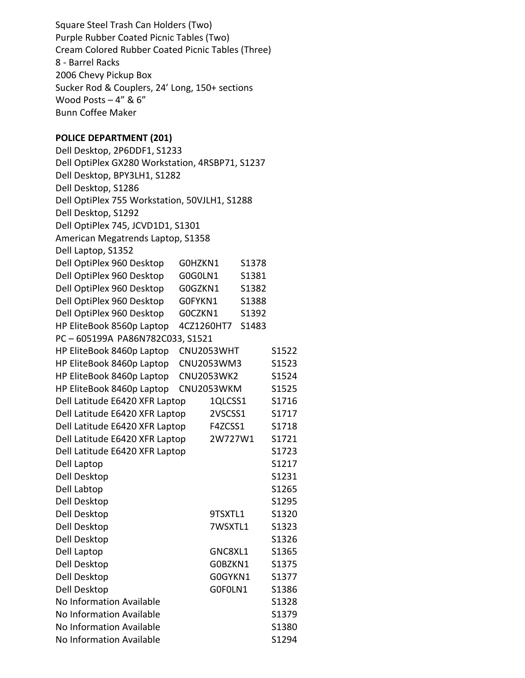Square Steel Trash Can Holders (Two) Purple Rubber Coated Picnic Tables (Two) Cream Colored Rubber Coated Picnic Tables (Three) 8 - Barrel Racks 2006 Chevy Pickup Box Sucker Rod & Couplers, 24' Long, 150+ sections Wood Posts – 4" & 6" Bunn Coffee Maker **POLICE DEPARTMENT (201)** Dell Desktop, 2P6DDF1, S1233 Dell OptiPlex GX280 Workstation, 4RSBP71, S1237 Dell Desktop, BPY3LH1, S1282 Dell Desktop, S1286 Dell OptiPlex 755 Workstation, 50VJLH1, S1288 Dell Desktop, S1292 Dell OptiPlex 745, JCVD1D1, S1301 American Megatrends Laptop, S1358 Dell Laptop, S1352 Dell OptiPlex 960 Desktop G0HZKN1 S1378 Dell OptiPlex 960 Desktop G0G0LN1 S1381 Dell OptiPlex 960 Desktop G0GZKN1 S1382 Dell OptiPlex 960 Desktop G0FYKN1 S1388 Dell OptiPlex 960 Desktop G0CZKN1 S1392 HP EliteBook 8560p Laptop 4CZ1260HT7 S1483 PC – 605199A PA86N782C033, S1521 HP EliteBook 8460p Laptop CNU2053WHT S1522 HP EliteBook 8460p Laptop CNU2053WM3 S1523 HP EliteBook 8460p Laptop CNU2053WK2 S1524 HP EliteBook 8460p Laptop CNU2053WKM S1525 Dell Latitude E6420 XFR Laptop 1QLCSS1 S1716 Dell Latitude E6420 XFR Laptop 2VSCSS1 S1717 Dell Latitude E6420 XFR Laptop F4ZCSS1 S1718 Dell Latitude E6420 XFR Laptop 2W727W1 S1721 Dell Latitude E6420 XFR Laptop S1723 Dell Laptop S1217 Dell Desktop S1231 Dell Labtop S1265 Dell Desktop S1295 Dell Desktop 9TSXTL1 S1320 Dell Desktop 7WSXTL1 S1323 Dell Desktop S1326 Dell Laptop GNC8XL1 S1365 Dell Desktop G0BZKN1 S1375 Dell Desktop G0GYKN1 S1377

Dell Desktop G0F0LN1 S1386 No Information Available S1328 No Information Available S1379 No Information Available S1380 No Information Available S1294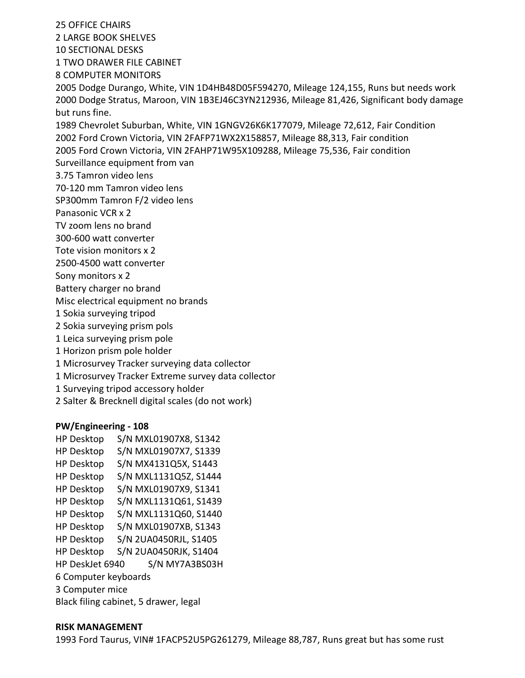25 OFFICE CHAIRS 2 LARGE BOOK SHELVES 10 SECTIONAL DESKS 1 TWO DRAWER FILE CABINET 8 COMPUTER MONITORS 2005 Dodge Durango, White, VIN 1D4HB48D05F594270, Mileage 124,155, Runs but needs work 2000 Dodge Stratus, Maroon, VIN 1B3EJ46C3YN212936, Mileage 81,426, Significant body damage but runs fine. 1989 Chevrolet Suburban, White, VIN 1GNGV26K6K177079, Mileage 72,612, Fair Condition 2002 Ford Crown Victoria, VIN 2FAFP71WX2X158857, Mileage 88,313, Fair condition 2005 Ford Crown Victoria, VIN 2FAHP71W95X109288, Mileage 75,536, Fair condition Surveillance equipment from van 3.75 Tamron video lens 70-120 mm Tamron video lens SP300mm Tamron F/2 video lens Panasonic VCR x 2 TV zoom lens no brand 300-600 watt converter Tote vision monitors x 2 2500-4500 watt converter Sony monitors x 2 Battery charger no brand Misc electrical equipment no brands 1 Sokia surveying tripod 2 Sokia surveying prism pols 1 Leica surveying prism pole 1 Horizon prism pole holder 1 Microsurvey Tracker surveying data collector 1 Microsurvey Tracker Extreme survey data collector 1 Surveying tripod accessory holder 2 Salter & Brecknell digital scales (do not work)

### **PW/Engineering - 108**

HP Desktop S/N MXL01907X8, S1342 HP Desktop S/N MXL01907X7, S1339 HP Desktop S/N MX4131Q5X, S1443 HP Desktop S/N MXL1131Q5Z, S1444 HP Desktop S/N MXL01907X9, S1341 HP Desktop S/N MXL1131Q61, S1439 HP Desktop S/N MXL1131Q60, S1440 HP Desktop S/N MXL01907XB, S1343 HP Desktop S/N 2UA0450RJL, S1405 HP Desktop S/N 2UA0450RJK, S1404 HP DeskJet 6940 S/N MY7A3BS03H 6 Computer keyboards 3 Computer mice Black filing cabinet, 5 drawer, legal

## **RISK MANAGEMENT**

1993 Ford Taurus, VIN# 1FACP52U5PG261279, Mileage 88,787, Runs great but has some rust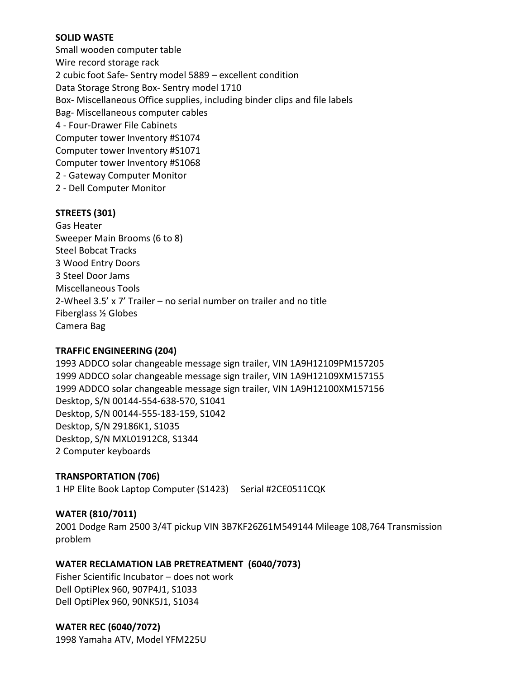# **SOLID WASTE**

Small wooden computer table Wire record storage rack 2 cubic foot Safe- Sentry model 5889 – excellent condition Data Storage Strong Box- Sentry model 1710 Box- Miscellaneous Office supplies, including binder clips and file labels Bag- Miscellaneous computer cables 4 - Four-Drawer File Cabinets Computer tower Inventory #S1074 Computer tower Inventory #S1071 Computer tower Inventory #S1068 2 - Gateway Computer Monitor 2 - Dell Computer Monitor

## **STREETS (301)**

Gas Heater Sweeper Main Brooms (6 to 8) Steel Bobcat Tracks 3 Wood Entry Doors 3 Steel Door Jams Miscellaneous Tools 2-Wheel 3.5' x 7' Trailer – no serial number on trailer and no title Fiberglass ½ Globes Camera Bag

# **TRAFFIC ENGINEERING (204)**

1993 ADDCO solar changeable message sign trailer, VIN 1A9H12109PM157205 1999 ADDCO solar changeable message sign trailer, VIN 1A9H12109XM157155 1999 ADDCO solar changeable message sign trailer, VIN 1A9H12100XM157156 Desktop, S/N 00144-554-638-570, S1041 Desktop, S/N 00144-555-183-159, S1042 Desktop, S/N 29186K1, S1035 Desktop, S/N MXL01912C8, S1344 2 Computer keyboards

# **TRANSPORTATION (706)**

1 HP Elite Book Laptop Computer (S1423) Serial #2CE0511CQK

# **WATER (810/7011)**

2001 Dodge Ram 2500 3/4T pickup VIN 3B7KF26Z61M549144 Mileage 108,764 Transmission problem

# **WATER RECLAMATION LAB PRETREATMENT (6040/7073)**

Fisher Scientific Incubator – does not work Dell OptiPlex 960, 907P4J1, S1033 Dell OptiPlex 960, 90NK5J1, S1034

**WATER REC (6040/7072)** 1998 Yamaha ATV, Model YFM225U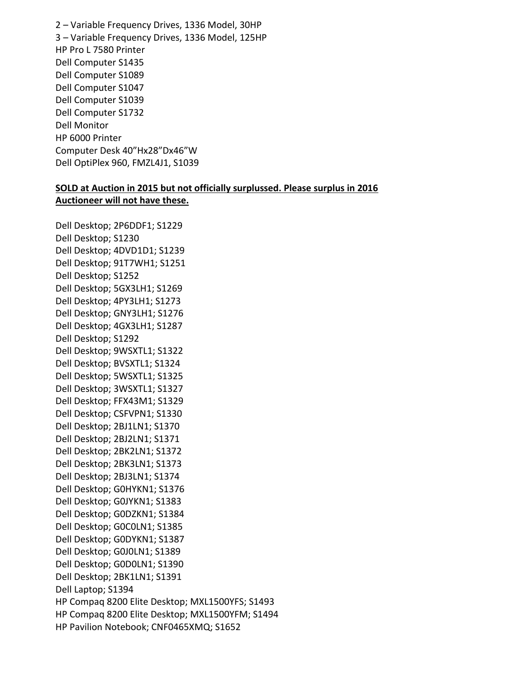2 – Variable Frequency Drives, 1336 Model, 30HP 3 – Variable Frequency Drives, 1336 Model, 125HP HP Pro L 7580 Printer Dell Computer S1435 Dell Computer S1089 Dell Computer S1047 Dell Computer S1039 Dell Computer S1732 Dell Monitor HP 6000 Printer Computer Desk 40"Hx28"Dx46"W Dell OptiPlex 960, FMZL4J1, S1039

### **SOLD at Auction in 2015 but not officially surplussed. Please surplus in 2016 Auctioneer will not have these.**

Dell Desktop; 2P6DDF1; S1229 Dell Desktop; S1230 Dell Desktop; 4DVD1D1; S1239 Dell Desktop; 91T7WH1; S1251 Dell Desktop; S1252 Dell Desktop; 5GX3LH1; S1269 Dell Desktop; 4PY3LH1; S1273 Dell Desktop; GNY3LH1; S1276 Dell Desktop; 4GX3LH1; S1287 Dell Desktop; S1292 Dell Desktop; 9WSXTL1; S1322 Dell Desktop; BVSXTL1; S1324 Dell Desktop; 5WSXTL1; S1325 Dell Desktop; 3WSXTL1; S1327 Dell Desktop; FFX43M1; S1329 Dell Desktop; CSFVPN1; S1330 Dell Desktop; 2BJ1LN1; S1370 Dell Desktop; 2BJ2LN1; S1371 Dell Desktop; 2BK2LN1; S1372 Dell Desktop; 2BK3LN1; S1373 Dell Desktop; 2BJ3LN1; S1374 Dell Desktop; G0HYKN1; S1376 Dell Desktop; G0JYKN1; S1383 Dell Desktop; G0DZKN1; S1384 Dell Desktop; G0C0LN1; S1385 Dell Desktop; G0DYKN1; S1387 Dell Desktop; G0J0LN1; S1389 Dell Desktop; G0D0LN1; S1390 Dell Desktop; 2BK1LN1; S1391 Dell Laptop; S1394 HP Compaq 8200 Elite Desktop; MXL1500YFS; S1493 HP Compaq 8200 Elite Desktop; MXL1500YFM; S1494 HP Pavilion Notebook; CNF0465XMQ; S1652